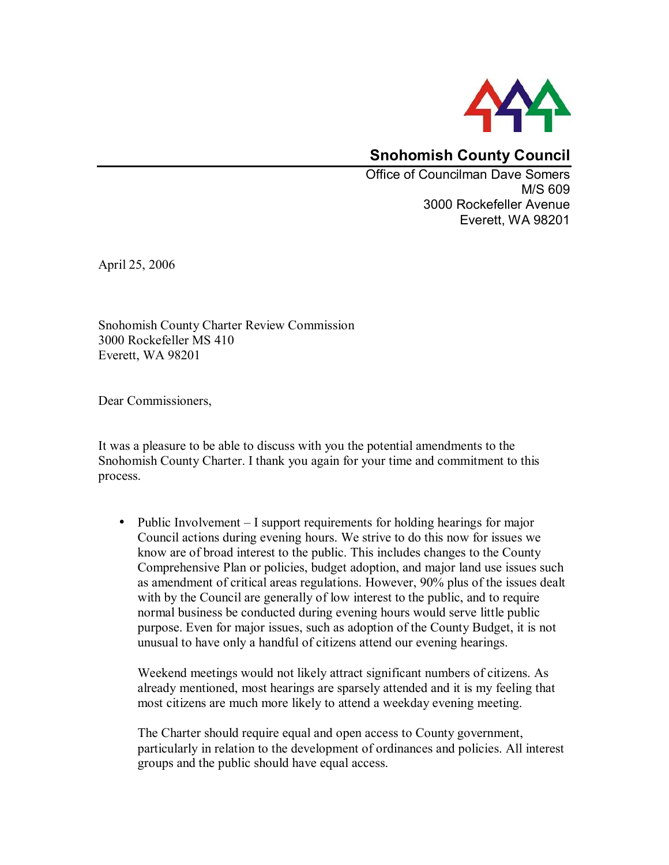

## **Snohomish County Council**

Office of Councilman Dave Somers M/S 609 3000 Rockefeller Avenue Everett, WA 98201

April 25, 2006

Snohomish County Charter Review Commission 3000 Rockefeller MS 410 Everett, WA 98201

Dear Commissioners,

It was a pleasure to be able to discuss with you the potential amendments to the Snohomish County Charter. I thank you again for your time and commitment to this process.

• Public Involvement  $-$  I support requirements for holding hearings for major Council actions during evening hours. We strive to do this now for issues we know are of broad interest to the public. This includes changes to the County Comprehensive Plan or policies, budget adoption, and major land use issues such as amendment of critical areas regulations. However, 90% plus of the issues dealt with by the Council are generally of low interest to the public, and to require normal business be conducted during evening hours would serve little public purpose. Even for major issues, such as adoption of the County Budget, it is not unusual to have only a handful of citizens attend our evening hearings.

Weekend meetings would not likely attract significant numbers of citizens. As already mentioned, most hearings are sparsely attended and it is my feeling that most citizens are much more likely to attend a weekday evening meeting.

The Charter should require equal and open access to County government, particularly in relation to the development of ordinances and policies. All interest groups and the public should have equal access.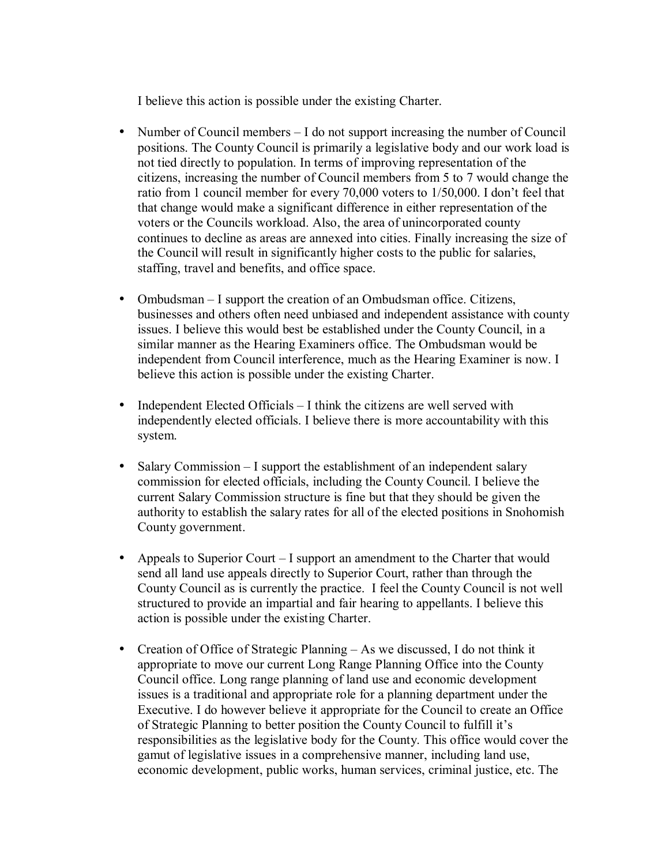I believe this action is possible under the existing Charter.

- Number of Council members  $I$  do not support increasing the number of Council positions. The County Council is primarily a legislative body and our work load is not tied directly to population. In terms of improving representation of the citizens, increasing the number of Council members from 5 to 7 would change the ratio from 1 council member for every 70,000 voters to 1/50,000. I don't feel that that change would make a significant difference in either representation of the voters or the Councils workload. Also, the area of unincorporated county continues to decline as areas are annexed into cities. Finally increasing the size of the Council will result in significantly higher costs to the public for salaries, staffing, travel and benefits, and office space.
- Ombudsman  $-I$  support the creation of an Ombudsman office. Citizens, businesses and others often need unbiased and independent assistance with county issues. I believe this would best be established under the County Council, in a similar manner as the Hearing Examiners office. The Ombudsman would be independent from Council interference, much as the Hearing Examiner is now. I believe this action is possible under the existing Charter.
- Independent Elected Officials  $-$  I think the citizens are well served with independently elected officials. I believe there is more accountability with this system.
- Salary Commission  $-I$  support the establishment of an independent salary commission for elected officials, including the County Council. I believe the current Salary Commission structure is fine but that they should be given the authority to establish the salary rates for all of the elected positions in Snohomish County government.
- Appeals to Superior Court  $-I$  support an amendment to the Charter that would send all land use appeals directly to Superior Court, rather than through the County Council as is currently the practice. I feel the County Council is not well structured to provide an impartial and fair hearing to appellants. I believe this action is possible under the existing Charter.
- Creation of Office of Strategic Planning  $A$ s we discussed, I do not think it appropriate to move our current Long Range Planning Office into the County Council office. Long range planning of land use and economic development issues is a traditional and appropriate role for a planning department under the Executive. I do however believe it appropriate for the Council to create an Office of Strategic Planning to better position the County Council to fulfill it's responsibilities as the legislative body for the County. This office would cover the gamut of legislative issues in a comprehensive manner, including land use, economic development, public works, human services, criminal justice, etc. The